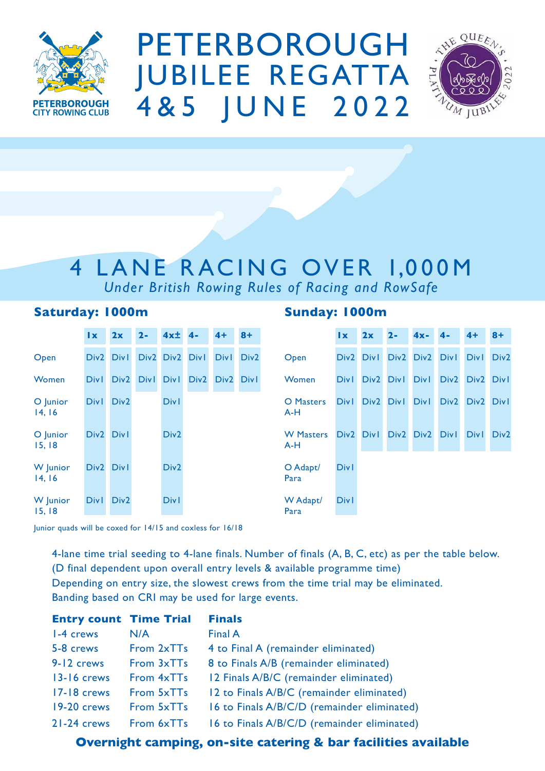

PETERBOROUGH JUBilEE REGATTA 4&5 JUNE 2022



## 4 LANE RACING OVER 1,000M *Under British Rowing Rules of Racing and RowSafe*

### **Saturday: 1000m**

|                    | $\mathbf{I}$ x   | 2x               | $2 -$            | $4x \pm$         | $4 -$            | $4+$             | $8+$             |
|--------------------|------------------|------------------|------------------|------------------|------------------|------------------|------------------|
| Open               | Div <sub>2</sub> | <b>Divl</b>      | Div <sub>2</sub> | Div <sub>2</sub> | <b>Divl</b>      | <b>Divl</b>      | Div <sub>2</sub> |
| Women              | <b>Div1</b>      | Div <sub>2</sub> | <b>Div1</b>      | <b>Div1</b>      | Div <sub>2</sub> | Div <sub>2</sub> | <b>Divl</b>      |
| O Junior<br>14, 16 | <b>Div1</b>      | Div <sub>2</sub> |                  | <b>Divl</b>      |                  |                  |                  |
| O Junior<br>15,18  | Div <sub>2</sub> | <b>Divl</b>      |                  | Div <sub>2</sub> |                  |                  |                  |
| W Junior<br>14, 16 | Div <sub>2</sub> | <b>Divl</b>      |                  | Div <sub>2</sub> |                  |                  |                  |
| W Junior<br>15,18  | <b>Div1</b>      | Div <sub>2</sub> |                  | <b>Divl</b>      |                  |                  |                  |

### **Sunday: 1000m**

|                         | $\mathbf{I}$ $\mathbf{x}$ | $2x$ 2-             |           | $4x-$                    | $4-$             | $4+$             | $8+$             |
|-------------------------|---------------------------|---------------------|-----------|--------------------------|------------------|------------------|------------------|
| Open                    |                           | Div2 Div1 Div2 Div2 |           |                          | <b>Divl</b>      | <b>Divl</b>      | Div <sub>2</sub> |
| Women                   | <b>Divl</b>               |                     | Div2 Div1 | <b>Divl</b>              | Div <sub>2</sub> | Div <sub>2</sub> | <b>Divl</b>      |
| <b>O</b> Masters<br>A-H | <b>DivI</b>               | Div2 Div1           |           | <b>Divl</b>              | Div <sub>2</sub> | Div <sub>2</sub> | <b>Divl</b>      |
| <b>W</b> Masters<br>A-H |                           |                     |           | Div2 Div1 Div2 Div2 Div1 |                  | <b>Divl</b>      | Div <sub>2</sub> |
| O Adapt/<br>Para        | <b>Divl</b>               |                     |           |                          |                  |                  |                  |
| W Adapt/<br>Para        | <b>Divl</b>               |                     |           |                          |                  |                  |                  |

Junior quads will be coxed for 14/15 and coxless for 16/18

4-lane time trial seeding to 4-lane finals. Number of finals (A, B, C, etc) as per the table below. (D final dependent upon overall entry levels & available programme time) Depending on entry size, the slowest crews from the time trial may be eliminated. Banding based on CRi may be used for large events.

| <b>Entry count Time Trial</b> |            | <b>Finals</b>                               |
|-------------------------------|------------|---------------------------------------------|
| 1-4 crews                     | N/A        | Final A                                     |
| 5-8 crews                     | From 2xTTs | 4 to Final A (remainder eliminated)         |
| 9-12 crews                    | From 3xTTs | 8 to Finals A/B (remainder eliminated)      |
| <b>13-16 crews</b>            | From 4xTTs | 12 Finals A/B/C (remainder eliminated)      |
| 17-18 crews                   | From 5xTTs | 12 to Finals A/B/C (remainder eliminated)   |
| 19-20 crews                   | From 5xTTs | 16 to Finals A/B/C/D (remainder eliminated) |
| 21-24 crews                   | From 6xTTs | 16 to Finals A/B/C/D (remainder eliminated) |

**Overnight camping, on-site catering & bar facilities available**